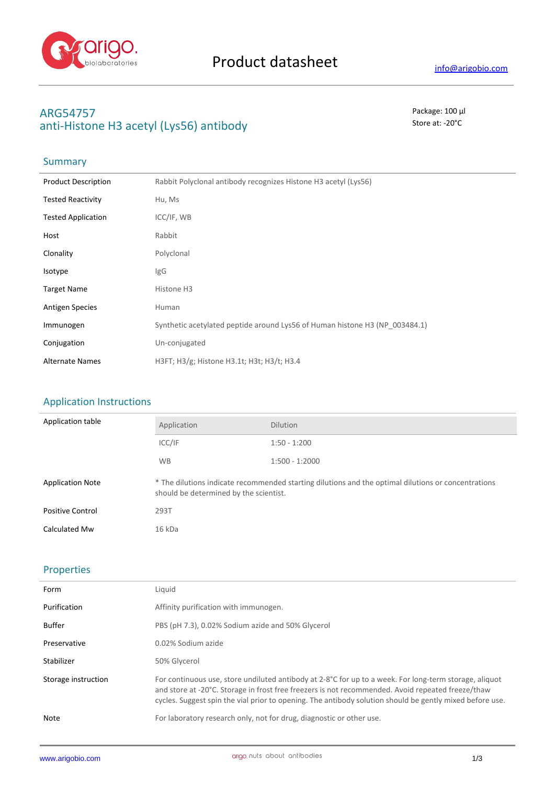

# **ARG54757** Package: 100 μl anti-Histone H3 acetyl (Lys56) antibody state at a state at: -20<sup>°</sup>C

# Summary

| <b>Product Description</b> | Rabbit Polyclonal antibody recognizes Histone H3 acetyl (Lys56)             |
|----------------------------|-----------------------------------------------------------------------------|
| <b>Tested Reactivity</b>   | Hu, Ms                                                                      |
| <b>Tested Application</b>  | ICC/IF, WB                                                                  |
| Host                       | Rabbit                                                                      |
| Clonality                  | Polyclonal                                                                  |
| Isotype                    | IgG                                                                         |
| <b>Target Name</b>         | Histone H3                                                                  |
| <b>Antigen Species</b>     | Human                                                                       |
| Immunogen                  | Synthetic acetylated peptide around Lys56 of Human histone H3 (NP 003484.1) |
| Conjugation                | Un-conjugated                                                               |
| <b>Alternate Names</b>     | H3FT; H3/g; Histone H3.1t; H3t; H3/t; H3.4                                  |

## Application Instructions

| Application table       | Application                                                                                                                                   | <b>Dilution</b>  |
|-------------------------|-----------------------------------------------------------------------------------------------------------------------------------------------|------------------|
|                         | ICC/IF                                                                                                                                        | $1:50 - 1:200$   |
|                         | <b>WB</b>                                                                                                                                     | $1:500 - 1:2000$ |
| <b>Application Note</b> | * The dilutions indicate recommended starting dilutions and the optimal dilutions or concentrations<br>should be determined by the scientist. |                  |
| <b>Positive Control</b> | 293T                                                                                                                                          |                  |
| Calculated Mw           | 16 kDa                                                                                                                                        |                  |

### Properties

| Form                | Liquid                                                                                                                                                                                                                                                                                                                  |
|---------------------|-------------------------------------------------------------------------------------------------------------------------------------------------------------------------------------------------------------------------------------------------------------------------------------------------------------------------|
| Purification        | Affinity purification with immunogen.                                                                                                                                                                                                                                                                                   |
| Buffer              | PBS (pH 7.3), 0.02% Sodium azide and 50% Glycerol                                                                                                                                                                                                                                                                       |
| Preservative        | 0.02% Sodium azide                                                                                                                                                                                                                                                                                                      |
| Stabilizer          | 50% Glycerol                                                                                                                                                                                                                                                                                                            |
| Storage instruction | For continuous use, store undiluted antibody at 2-8°C for up to a week. For long-term storage, aliquot<br>and store at -20°C. Storage in frost free freezers is not recommended. Avoid repeated freeze/thaw<br>cycles. Suggest spin the vial prior to opening. The antibody solution should be gently mixed before use. |
| Note                | For laboratory research only, not for drug, diagnostic or other use.                                                                                                                                                                                                                                                    |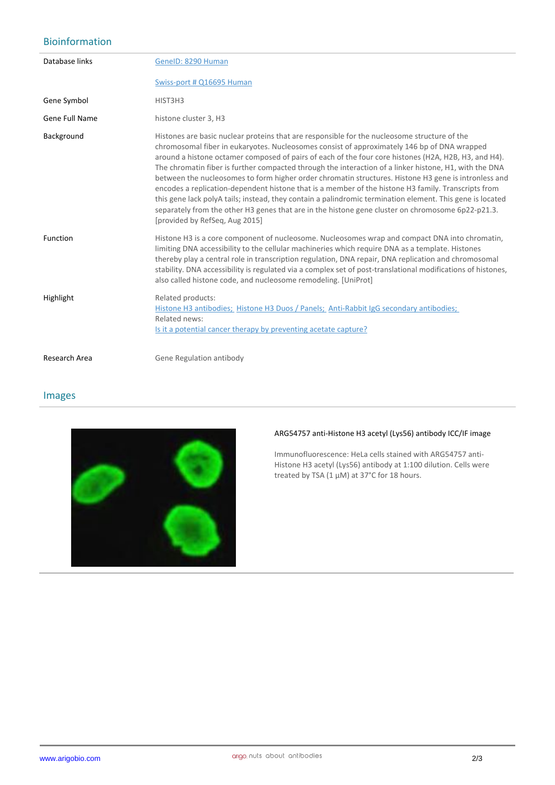## Bioinformation

| Database links | GenelD: 8290 Human                                                                                                                                                                                                                                                                                                                                                                                                                                                                                                                                                                                                                                                                                                                                                                                                                                                               |
|----------------|----------------------------------------------------------------------------------------------------------------------------------------------------------------------------------------------------------------------------------------------------------------------------------------------------------------------------------------------------------------------------------------------------------------------------------------------------------------------------------------------------------------------------------------------------------------------------------------------------------------------------------------------------------------------------------------------------------------------------------------------------------------------------------------------------------------------------------------------------------------------------------|
|                | Swiss-port # Q16695 Human                                                                                                                                                                                                                                                                                                                                                                                                                                                                                                                                                                                                                                                                                                                                                                                                                                                        |
| Gene Symbol    | HIST3H3                                                                                                                                                                                                                                                                                                                                                                                                                                                                                                                                                                                                                                                                                                                                                                                                                                                                          |
| Gene Full Name | histone cluster 3, H3                                                                                                                                                                                                                                                                                                                                                                                                                                                                                                                                                                                                                                                                                                                                                                                                                                                            |
| Background     | Histones are basic nuclear proteins that are responsible for the nucleosome structure of the<br>chromosomal fiber in eukaryotes. Nucleosomes consist of approximately 146 bp of DNA wrapped<br>around a histone octamer composed of pairs of each of the four core histones (H2A, H2B, H3, and H4).<br>The chromatin fiber is further compacted through the interaction of a linker histone, H1, with the DNA<br>between the nucleosomes to form higher order chromatin structures. Histone H3 gene is intronless and<br>encodes a replication-dependent histone that is a member of the histone H3 family. Transcripts from<br>this gene lack polyA tails; instead, they contain a palindromic termination element. This gene is located<br>separately from the other H3 genes that are in the histone gene cluster on chromosome 6p22-p21.3.<br>[provided by RefSeq, Aug 2015] |
| Function       | Histone H3 is a core component of nucleosome. Nucleosomes wrap and compact DNA into chromatin,<br>limiting DNA accessibility to the cellular machineries which require DNA as a template. Histones<br>thereby play a central role in transcription regulation, DNA repair, DNA replication and chromosomal<br>stability. DNA accessibility is regulated via a complex set of post-translational modifications of histones,<br>also called histone code, and nucleosome remodeling. [UniProt]                                                                                                                                                                                                                                                                                                                                                                                     |
| Highlight      | Related products:<br>Histone H3 antibodies; Histone H3 Duos / Panels; Anti-Rabbit IgG secondary antibodies;<br>Related news:<br>Is it a potential cancer therapy by preventing acetate capture?                                                                                                                                                                                                                                                                                                                                                                                                                                                                                                                                                                                                                                                                                  |
| Research Area  | Gene Regulation antibody                                                                                                                                                                                                                                                                                                                                                                                                                                                                                                                                                                                                                                                                                                                                                                                                                                                         |

#### Images



#### **ARG54757 anti-Histone H3 acetyl (Lys56) antibody ICC/IF image**

Immunofluorescence: HeLa cells stained with ARG54757 anti-Histone H3 acetyl (Lys56) antibody at 1:100 dilution. Cells were treated by TSA  $(1 \mu M)$  at 37°C for 18 hours.